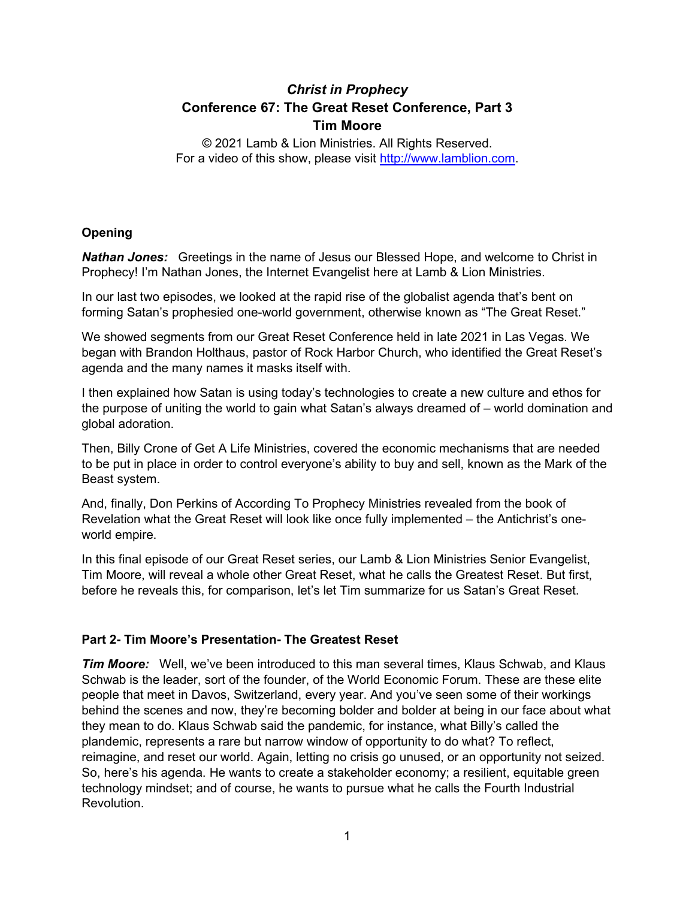# *Christ in Prophecy* **Conference 67: The Great Reset Conference, Part 3 Tim Moore**

© 2021 Lamb & Lion Ministries. All Rights Reserved. For a video of this show, please visit [http://www.lamblion.com.](http://www.lamblion.com/)

# **Opening**

*Nathan Jones:* Greetings in the name of Jesus our Blessed Hope, and welcome to Christ in Prophecy! I'm Nathan Jones, the Internet Evangelist here at Lamb & Lion Ministries.

In our last two episodes, we looked at the rapid rise of the globalist agenda that's bent on forming Satan's prophesied one-world government, otherwise known as "The Great Reset."

We showed segments from our Great Reset Conference held in late 2021 in Las Vegas. We began with Brandon Holthaus, pastor of Rock Harbor Church, who identified the Great Reset's agenda and the many names it masks itself with.

I then explained how Satan is using today's technologies to create a new culture and ethos for the purpose of uniting the world to gain what Satan's always dreamed of – world domination and global adoration.

Then, Billy Crone of Get A Life Ministries, covered the economic mechanisms that are needed to be put in place in order to control everyone's ability to buy and sell, known as the Mark of the Beast system.

And, finally, Don Perkins of According To Prophecy Ministries revealed from the book of Revelation what the Great Reset will look like once fully implemented – the Antichrist's oneworld empire.

In this final episode of our Great Reset series, our Lamb & Lion Ministries Senior Evangelist, Tim Moore, will reveal a whole other Great Reset, what he calls the Greatest Reset. But first, before he reveals this, for comparison, let's let Tim summarize for us Satan's Great Reset.

## **Part 2- Tim Moore's Presentation- The Greatest Reset**

*Tim Moore:* Well, we've been introduced to this man several times, Klaus Schwab, and Klaus Schwab is the leader, sort of the founder, of the World Economic Forum. These are these elite people that meet in Davos, Switzerland, every year. And you've seen some of their workings behind the scenes and now, they're becoming bolder and bolder at being in our face about what they mean to do. Klaus Schwab said the pandemic, for instance, what Billy's called the plandemic, represents a rare but narrow window of opportunity to do what? To reflect, reimagine, and reset our world. Again, letting no crisis go unused, or an opportunity not seized. So, here's his agenda. He wants to create a stakeholder economy; a resilient, equitable green technology mindset; and of course, he wants to pursue what he calls the Fourth Industrial Revolution.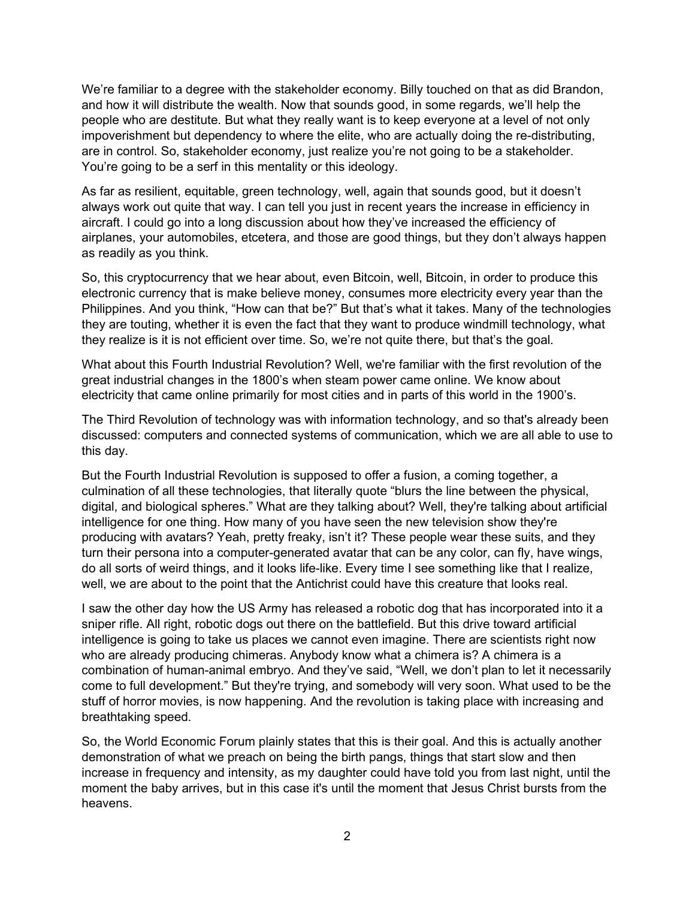We're familiar to a degree with the stakeholder economy. Billy touched on that as did Brandon, and how it will distribute the wealth. Now that sounds good, in some regards, we'll help the people who are destitute. But what they really want is to keep everyone at a level of not only impoverishment but dependency to where the elite, who are actually doing the re-distributing, are in control. So, stakeholder economy, just realize you're not going to be a stakeholder. You're going to be a serf in this mentality or this ideology.

As far as resilient, equitable, green technology, well, again that sounds good, but it doesn't always work out quite that way. I can tell you just in recent years the increase in efficiency in aircraft. I could go into a long discussion about how they've increased the efficiency of airplanes, your automobiles, etcetera, and those are good things, but they don't always happen as readily as you think.

So, this cryptocurrency that we hear about, even Bitcoin, well, Bitcoin, in order to produce this electronic currency that is make believe money, consumes more electricity every year than the Philippines. And you think, "How can that be?" But that's what it takes. Many of the technologies they are touting, whether it is even the fact that they want to produce windmill technology, what they realize is it is not efficient over time. So, we're not quite there, but that's the goal.

What about this Fourth Industrial Revolution? Well, we're familiar with the first revolution of the great industrial changes in the 1800's when steam power came online. We know about electricity that came online primarily for most cities and in parts of this world in the 1900's.

The Third Revolution of technology was with information technology, and so that's already been discussed: computers and connected systems of communication, which we are all able to use to this day.

But the Fourth Industrial Revolution is supposed to offer a fusion, a coming together, a culmination of all these technologies, that literally quote "blurs the line between the physical, digital, and biological spheres." What are they talking about? Well, they're talking about artificial intelligence for one thing. How many of you have seen the new television show they're producing with avatars? Yeah, pretty freaky, isn't it? These people wear these suits, and they turn their persona into a computer-generated avatar that can be any color, can fly, have wings, do all sorts of weird things, and it looks life-like. Every time I see something like that I realize, well, we are about to the point that the Antichrist could have this creature that looks real.

I saw the other day how the US Army has released a robotic dog that has incorporated into it a sniper rifle. All right, robotic dogs out there on the battlefield. But this drive toward artificial intelligence is going to take us places we cannot even imagine. There are scientists right now who are already producing chimeras. Anybody know what a chimera is? A chimera is a combination of human-animal embryo. And they've said, "Well, we don't plan to let it necessarily come to full development." But they're trying, and somebody will very soon. What used to be the stuff of horror movies, is now happening. And the revolution is taking place with increasing and breathtaking speed.

So, the World Economic Forum plainly states that this is their goal. And this is actually another demonstration of what we preach on being the birth pangs, things that start slow and then increase in frequency and intensity, as my daughter could have told you from last night, until the moment the baby arrives, but in this case it's until the moment that Jesus Christ bursts from the heavens.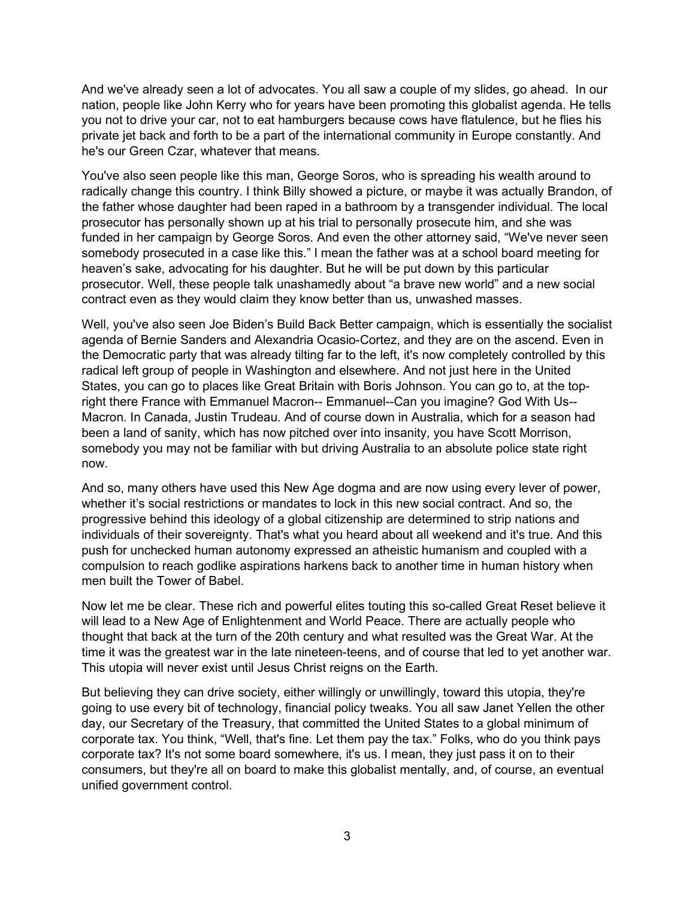And we've already seen a lot of advocates. You all saw a couple of my slides, go ahead. In our nation, people like John Kerry who for years have been promoting this globalist agenda. He tells you not to drive your car, not to eat hamburgers because cows have flatulence, but he flies his private jet back and forth to be a part of the international community in Europe constantly. And he's our Green Czar, whatever that means.

You've also seen people like this man, George Soros, who is spreading his wealth around to radically change this country. I think Billy showed a picture, or maybe it was actually Brandon, of the father whose daughter had been raped in a bathroom by a transgender individual. The local prosecutor has personally shown up at his trial to personally prosecute him, and she was funded in her campaign by George Soros. And even the other attorney said, "We've never seen somebody prosecuted in a case like this." I mean the father was at a school board meeting for heaven's sake, advocating for his daughter. But he will be put down by this particular prosecutor. Well, these people talk unashamedly about "a brave new world" and a new social contract even as they would claim they know better than us, unwashed masses.

Well, you've also seen Joe Biden's Build Back Better campaign, which is essentially the socialist agenda of Bernie Sanders and Alexandria Ocasio-Cortez, and they are on the ascend. Even in the Democratic party that was already tilting far to the left, it's now completely controlled by this radical left group of people in Washington and elsewhere. And not just here in the United States, you can go to places like Great Britain with Boris Johnson. You can go to, at the topright there France with Emmanuel Macron-- Emmanuel--Can you imagine? God With Us-- Macron. In Canada, Justin Trudeau. And of course down in Australia, which for a season had been a land of sanity, which has now pitched over into insanity, you have Scott Morrison, somebody you may not be familiar with but driving Australia to an absolute police state right now.

And so, many others have used this New Age dogma and are now using every lever of power, whether it's social restrictions or mandates to lock in this new social contract. And so, the progressive behind this ideology of a global citizenship are determined to strip nations and individuals of their sovereignty. That's what you heard about all weekend and it's true. And this push for unchecked human autonomy expressed an atheistic humanism and coupled with a compulsion to reach godlike aspirations harkens back to another time in human history when men built the Tower of Babel.

Now let me be clear. These rich and powerful elites touting this so-called Great Reset believe it will lead to a New Age of Enlightenment and World Peace. There are actually people who thought that back at the turn of the 20th century and what resulted was the Great War. At the time it was the greatest war in the late nineteen-teens, and of course that led to yet another war. This utopia will never exist until Jesus Christ reigns on the Earth.

But believing they can drive society, either willingly or unwillingly, toward this utopia, they're going to use every bit of technology, financial policy tweaks. You all saw Janet Yellen the other day, our Secretary of the Treasury, that committed the United States to a global minimum of corporate tax. You think, "Well, that's fine. Let them pay the tax." Folks, who do you think pays corporate tax? It's not some board somewhere, it's us. I mean, they just pass it on to their consumers, but they're all on board to make this globalist mentally, and, of course, an eventual unified government control.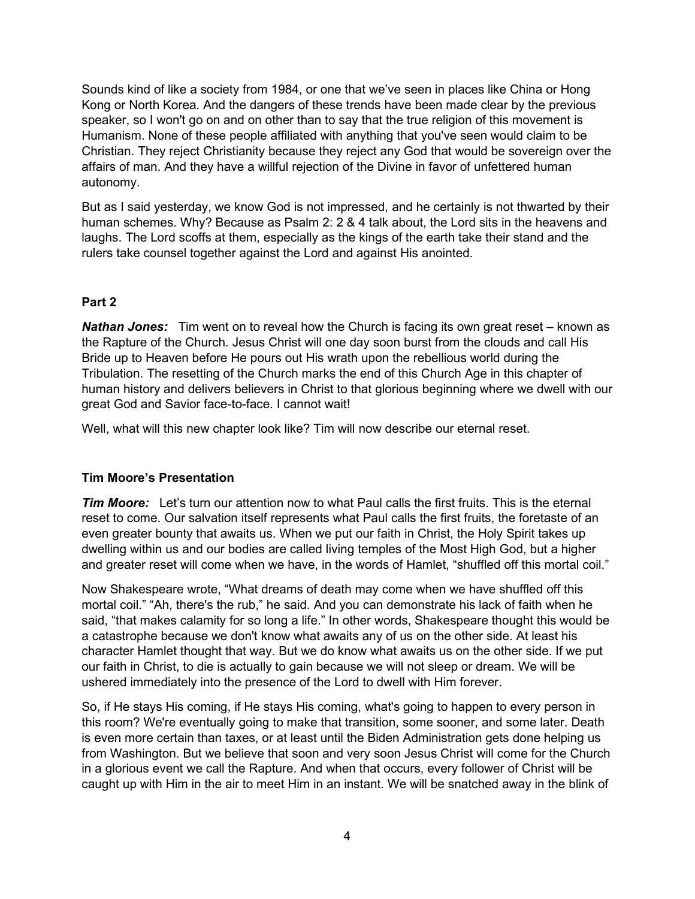Sounds kind of like a society from 1984, or one that we've seen in places like China or Hong Kong or North Korea. And the dangers of these trends have been made clear by the previous speaker, so I won't go on and on other than to say that the true religion of this movement is Humanism. None of these people affiliated with anything that you've seen would claim to be Christian. They reject Christianity because they reject any God that would be sovereign over the affairs of man. And they have a willful rejection of the Divine in favor of unfettered human autonomy.

But as I said yesterday, we know God is not impressed, and he certainly is not thwarted by their human schemes. Why? Because as Psalm 2: 2 & 4 talk about, the Lord sits in the heavens and laughs. The Lord scoffs at them, especially as the kings of the earth take their stand and the rulers take counsel together against the Lord and against His anointed.

# **Part 2**

**Nathan Jones:** Tim went on to reveal how the Church is facing its own great reset – known as the Rapture of the Church. Jesus Christ will one day soon burst from the clouds and call His Bride up to Heaven before He pours out His wrath upon the rebellious world during the Tribulation. The resetting of the Church marks the end of this Church Age in this chapter of human history and delivers believers in Christ to that glorious beginning where we dwell with our great God and Savior face-to-face. I cannot wait!

Well, what will this new chapter look like? Tim will now describe our eternal reset.

## **Tim Moore's Presentation**

*Tim Moore:* Let's turn our attention now to what Paul calls the first fruits. This is the eternal reset to come. Our salvation itself represents what Paul calls the first fruits, the foretaste of an even greater bounty that awaits us. When we put our faith in Christ, the Holy Spirit takes up dwelling within us and our bodies are called living temples of the Most High God, but a higher and greater reset will come when we have, in the words of Hamlet, "shuffled off this mortal coil."

Now Shakespeare wrote, "What dreams of death may come when we have shuffled off this mortal coil." "Ah, there's the rub," he said. And you can demonstrate his lack of faith when he said, "that makes calamity for so long a life." In other words, Shakespeare thought this would be a catastrophe because we don't know what awaits any of us on the other side. At least his character Hamlet thought that way. But we do know what awaits us on the other side. If we put our faith in Christ, to die is actually to gain because we will not sleep or dream. We will be ushered immediately into the presence of the Lord to dwell with Him forever.

So, if He stays His coming, if He stays His coming, what's going to happen to every person in this room? We're eventually going to make that transition, some sooner, and some later. Death is even more certain than taxes, or at least until the Biden Administration gets done helping us from Washington. But we believe that soon and very soon Jesus Christ will come for the Church in a glorious event we call the Rapture. And when that occurs, every follower of Christ will be caught up with Him in the air to meet Him in an instant. We will be snatched away in the blink of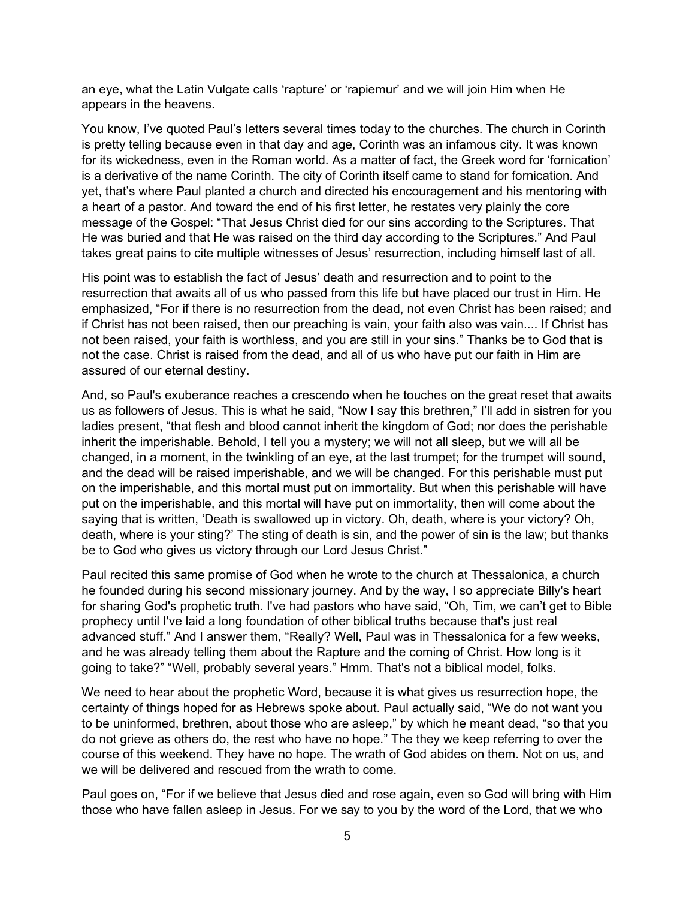an eye, what the Latin Vulgate calls 'rapture' or 'rapiemur' and we will join Him when He appears in the heavens.

You know, I've quoted Paul's letters several times today to the churches. The church in Corinth is pretty telling because even in that day and age, Corinth was an infamous city. It was known for its wickedness, even in the Roman world. As a matter of fact, the Greek word for 'fornication' is a derivative of the name Corinth. The city of Corinth itself came to stand for fornication. And yet, that's where Paul planted a church and directed his encouragement and his mentoring with a heart of a pastor. And toward the end of his first letter, he restates very plainly the core message of the Gospel: "That Jesus Christ died for our sins according to the Scriptures. That He was buried and that He was raised on the third day according to the Scriptures." And Paul takes great pains to cite multiple witnesses of Jesus' resurrection, including himself last of all.

His point was to establish the fact of Jesus' death and resurrection and to point to the resurrection that awaits all of us who passed from this life but have placed our trust in Him. He emphasized, "For if there is no resurrection from the dead, not even Christ has been raised; and if Christ has not been raised, then our preaching is vain, your faith also was vain.... If Christ has not been raised, your faith is worthless, and you are still in your sins." Thanks be to God that is not the case. Christ is raised from the dead, and all of us who have put our faith in Him are assured of our eternal destiny.

And, so Paul's exuberance reaches a crescendo when he touches on the great reset that awaits us as followers of Jesus. This is what he said, "Now I say this brethren," I'll add in sistren for you ladies present, "that flesh and blood cannot inherit the kingdom of God; nor does the perishable inherit the imperishable. Behold, I tell you a mystery; we will not all sleep, but we will all be changed, in a moment, in the twinkling of an eye, at the last trumpet; for the trumpet will sound, and the dead will be raised imperishable, and we will be changed. For this perishable must put on the imperishable, and this mortal must put on immortality. But when this perishable will have put on the imperishable, and this mortal will have put on immortality, then will come about the saying that is written, 'Death is swallowed up in victory. Oh, death, where is your victory? Oh, death, where is your sting?' The sting of death is sin, and the power of sin is the law; but thanks be to God who gives us victory through our Lord Jesus Christ."

Paul recited this same promise of God when he wrote to the church at Thessalonica, a church he founded during his second missionary journey. And by the way, I so appreciate Billy's heart for sharing God's prophetic truth. I've had pastors who have said, "Oh, Tim, we can't get to Bible prophecy until I've laid a long foundation of other biblical truths because that's just real advanced stuff." And I answer them, "Really? Well, Paul was in Thessalonica for a few weeks, and he was already telling them about the Rapture and the coming of Christ. How long is it going to take?" "Well, probably several years." Hmm. That's not a biblical model, folks.

We need to hear about the prophetic Word, because it is what gives us resurrection hope, the certainty of things hoped for as Hebrews spoke about. Paul actually said, "We do not want you to be uninformed, brethren, about those who are asleep," by which he meant dead, "so that you do not grieve as others do, the rest who have no hope." The they we keep referring to over the course of this weekend. They have no hope. The wrath of God abides on them. Not on us, and we will be delivered and rescued from the wrath to come.

Paul goes on, "For if we believe that Jesus died and rose again, even so God will bring with Him those who have fallen asleep in Jesus. For we say to you by the word of the Lord, that we who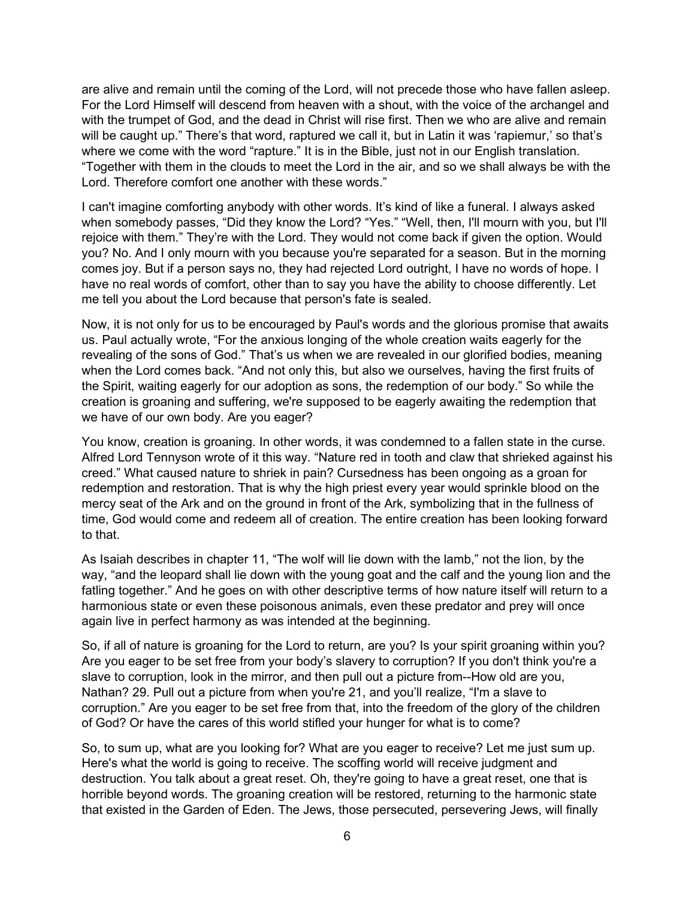are alive and remain until the coming of the Lord, will not precede those who have fallen asleep. For the Lord Himself will descend from heaven with a shout, with the voice of the archangel and with the trumpet of God, and the dead in Christ will rise first. Then we who are alive and remain will be caught up." There's that word, raptured we call it, but in Latin it was 'rapiemur,' so that's where we come with the word "rapture." It is in the Bible, just not in our English translation. "Together with them in the clouds to meet the Lord in the air, and so we shall always be with the Lord. Therefore comfort one another with these words."

I can't imagine comforting anybody with other words. It's kind of like a funeral. I always asked when somebody passes, "Did they know the Lord? "Yes." "Well, then, I'll mourn with you, but I'll rejoice with them." They're with the Lord. They would not come back if given the option. Would you? No. And I only mourn with you because you're separated for a season. But in the morning comes joy. But if a person says no, they had rejected Lord outright, I have no words of hope. I have no real words of comfort, other than to say you have the ability to choose differently. Let me tell you about the Lord because that person's fate is sealed.

Now, it is not only for us to be encouraged by Paul's words and the glorious promise that awaits us. Paul actually wrote, "For the anxious longing of the whole creation waits eagerly for the revealing of the sons of God." That's us when we are revealed in our glorified bodies, meaning when the Lord comes back. "And not only this, but also we ourselves, having the first fruits of the Spirit, waiting eagerly for our adoption as sons, the redemption of our body." So while the creation is groaning and suffering, we're supposed to be eagerly awaiting the redemption that we have of our own body. Are you eager?

You know, creation is groaning. In other words, it was condemned to a fallen state in the curse. Alfred Lord Tennyson wrote of it this way. "Nature red in tooth and claw that shrieked against his creed." What caused nature to shriek in pain? Cursedness has been ongoing as a groan for redemption and restoration. That is why the high priest every year would sprinkle blood on the mercy seat of the Ark and on the ground in front of the Ark, symbolizing that in the fullness of time, God would come and redeem all of creation. The entire creation has been looking forward to that.

As Isaiah describes in chapter 11, "The wolf will lie down with the lamb," not the lion, by the way, "and the leopard shall lie down with the young goat and the calf and the young lion and the fatling together." And he goes on with other descriptive terms of how nature itself will return to a harmonious state or even these poisonous animals, even these predator and prey will once again live in perfect harmony as was intended at the beginning.

So, if all of nature is groaning for the Lord to return, are you? Is your spirit groaning within you? Are you eager to be set free from your body's slavery to corruption? If you don't think you're a slave to corruption, look in the mirror, and then pull out a picture from--How old are you, Nathan? 29. Pull out a picture from when you're 21, and you'll realize, "I'm a slave to corruption." Are you eager to be set free from that, into the freedom of the glory of the children of God? Or have the cares of this world stifled your hunger for what is to come?

So, to sum up, what are you looking for? What are you eager to receive? Let me just sum up. Here's what the world is going to receive. The scoffing world will receive judgment and destruction. You talk about a great reset. Oh, they're going to have a great reset, one that is horrible beyond words. The groaning creation will be restored, returning to the harmonic state that existed in the Garden of Eden. The Jews, those persecuted, persevering Jews, will finally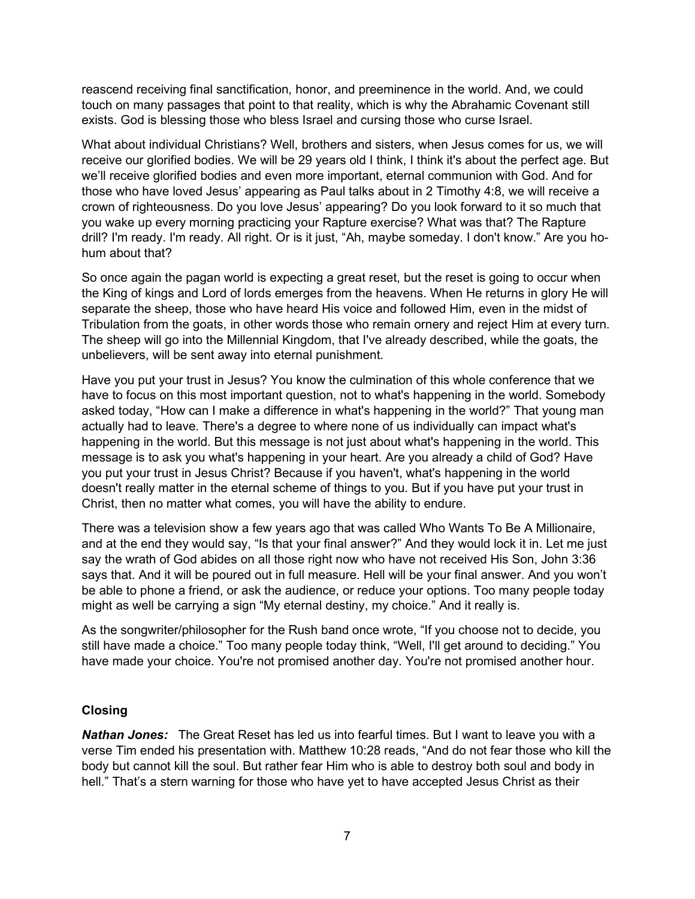reascend receiving final sanctification, honor, and preeminence in the world. And, we could touch on many passages that point to that reality, which is why the Abrahamic Covenant still exists. God is blessing those who bless Israel and cursing those who curse Israel.

What about individual Christians? Well, brothers and sisters, when Jesus comes for us, we will receive our glorified bodies. We will be 29 years old I think, I think it's about the perfect age. But we'll receive glorified bodies and even more important, eternal communion with God. And for those who have loved Jesus' appearing as Paul talks about in 2 Timothy 4:8, we will receive a crown of righteousness. Do you love Jesus' appearing? Do you look forward to it so much that you wake up every morning practicing your Rapture exercise? What was that? The Rapture drill? I'm ready. I'm ready. All right. Or is it just, "Ah, maybe someday. I don't know." Are you hohum about that?

So once again the pagan world is expecting a great reset, but the reset is going to occur when the King of kings and Lord of lords emerges from the heavens. When He returns in glory He will separate the sheep, those who have heard His voice and followed Him, even in the midst of Tribulation from the goats, in other words those who remain ornery and reject Him at every turn. The sheep will go into the Millennial Kingdom, that I've already described, while the goats, the unbelievers, will be sent away into eternal punishment.

Have you put your trust in Jesus? You know the culmination of this whole conference that we have to focus on this most important question, not to what's happening in the world. Somebody asked today, "How can I make a difference in what's happening in the world?" That young man actually had to leave. There's a degree to where none of us individually can impact what's happening in the world. But this message is not just about what's happening in the world. This message is to ask you what's happening in your heart. Are you already a child of God? Have you put your trust in Jesus Christ? Because if you haven't, what's happening in the world doesn't really matter in the eternal scheme of things to you. But if you have put your trust in Christ, then no matter what comes, you will have the ability to endure.

There was a television show a few years ago that was called Who Wants To Be A Millionaire, and at the end they would say, "Is that your final answer?" And they would lock it in. Let me just say the wrath of God abides on all those right now who have not received His Son, John 3:36 says that. And it will be poured out in full measure. Hell will be your final answer. And you won't be able to phone a friend, or ask the audience, or reduce your options. Too many people today might as well be carrying a sign "My eternal destiny, my choice." And it really is.

As the songwriter/philosopher for the Rush band once wrote, "If you choose not to decide, you still have made a choice." Too many people today think, "Well, I'll get around to deciding." You have made your choice. You're not promised another day. You're not promised another hour.

## **Closing**

*Nathan Jones:* The Great Reset has led us into fearful times. But I want to leave you with a verse Tim ended his presentation with. Matthew 10:28 reads, "And do not fear those who kill the body but cannot kill the soul. But rather fear Him who is able to destroy both soul and body in hell." That's a stern warning for those who have yet to have accepted Jesus Christ as their